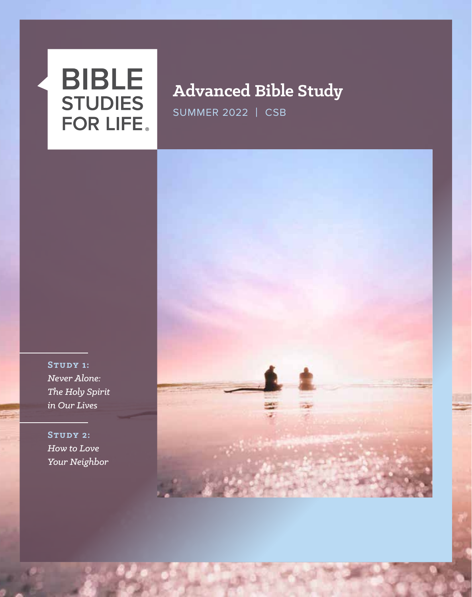# **BIBLE STUDIES FOR LIFE**

## **Advanced Bible Study**

SUMMER 2022 | CSB

**Study 1:** *Never Alone: The Holy Spirit in Our Lives*

**Study 2:** *How to Love Your Neighbor*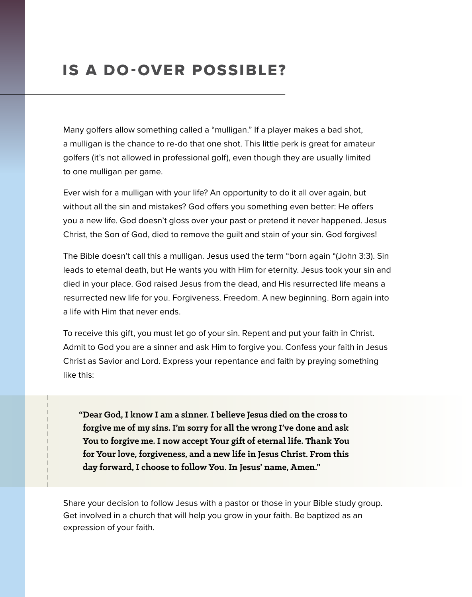## IS A DO-OVER POSSIBLE?

Many golfers allow something called a "mulligan." If a player makes a bad shot, a mulligan is the chance to re-do that one shot. This little perk is great for amateur golfers (it's not allowed in professional golf), even though they are usually limited to one mulligan per game.

Ever wish for a mulligan with your life? An opportunity to do it all over again, but without all the sin and mistakes? God offers you something even better: He offers you a new life. God doesn't gloss over your past or pretend it never happened. Jesus Christ, the Son of God, died to remove the guilt and stain of your sin. God forgives!

The Bible doesn't call this a mulligan. Jesus used the term "born again "(John 3:3). Sin leads to eternal death, but He wants you with Him for eternity. Jesus took your sin and died in your place. God raised Jesus from the dead, and His resurrected life means a resurrected new life for you. Forgiveness. Freedom. A new beginning. Born again into a life with Him that never ends.

To receive this gift, you must let go of your sin. Repent and put your faith in Christ. Admit to God you are a sinner and ask Him to forgive you. Confess your faith in Jesus Christ as Savior and Lord. Express your repentance and faith by praying something like this:

**"Dear God, I know I am a sinner. I believe Jesus died on the cross to forgive me of my sins. I'm sorry for all the wrong I've done and ask You to forgive me. I now accept Your gift of eternal life. Thank You for Your love, forgiveness, and a new life in Jesus Christ. From this day forward, I choose to follow You. In Jesus' name, Amen."**

Share your decision to follow Jesus with a pastor or those in your Bible study group. Get involved in a church that will help you grow in your faith. Be baptized as an expression of your faith.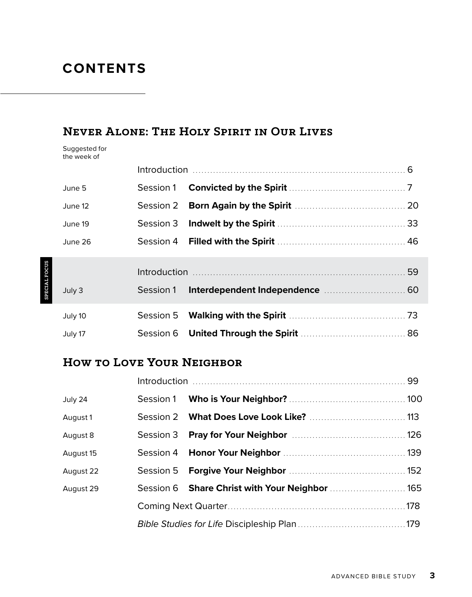### **CONTENTS**

#### **Never Alone: The Holy Spirit in Our Lives**

Suggested for the week of

| June 5  |           |  |  |
|---------|-----------|--|--|
| June 12 |           |  |  |
| June 19 |           |  |  |
| June 26 |           |  |  |
|         |           |  |  |
| July 3  | Session 1 |  |  |
| July 10 |           |  |  |
| July 17 |           |  |  |

#### **How to Love Your Neighbor**

| July 24   |                                                |  |
|-----------|------------------------------------------------|--|
| August 1  |                                                |  |
| August 8  |                                                |  |
| August 15 |                                                |  |
| August 22 |                                                |  |
| August 29 | Session 6 Share Christ with Your Neighbor  165 |  |
|           |                                                |  |
|           |                                                |  |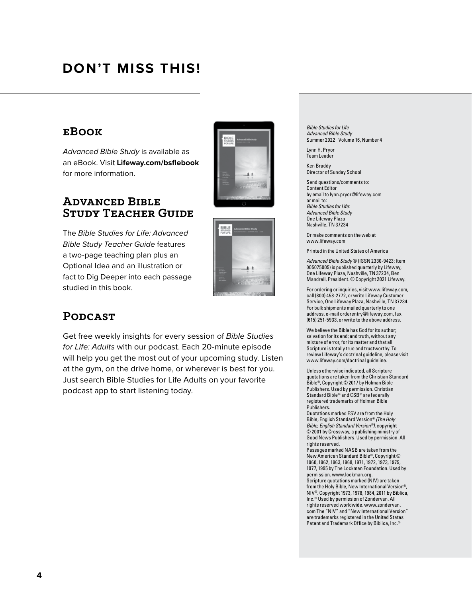## **DON'T MISS THIS!**

#### **eBook**

*Advanced Bible Study* is available as an eBook. Visit **Lifeway.com/bsflebook** for more information.

#### **Advanced Bible Study Teacher Guide**

The *Bible Studies for Life: Advanced Bible Study Teacher Guide* features a two-page teaching plan plus an Optional Idea and an illustration or fact to Dig Deeper into each passage studied in this book.





#### **Podcast**

Get free weekly insights for every session of *Bible Studies for Life: Adults* with our podcast. Each 20-minute episode will help you get the most out of your upcoming study. Listen at the gym, on the drive home, or wherever is best for you. Just search Bible Studies for Life Adults on your favorite podcast app to start listening today.

*Bible Studies for Life Advanced Bible Study* Summer 2022 Volume 16, Number 4

Lynn H. Pryor Team Leader

Ken Braddy Director of Sunday School

Send questions/comments to: Content Editor by email to lynn.pryor@lifeway.com or mail to: *Bible Studies for Life: Advanced Bible Study* One Lifeway Plaza Nashville, TN 37234

Or make comments on the web at www.lifeway.com

Printed in the United States of America

*Advanced Bible Study* ® (ISSN 2330-9423; Item 005075005) is published quarterly by Lifeway, One Lifeway Plaza, Nashville, TN 37234, Ben Mandrell, President. © Copyright 2021 Lifeway.

For ordering or inquiries, visit www.lifeway.com, call (800) 458-2772, or write Lifeway Custome Service, One Lifeway Plaza, Nashville, TN 37234. For bulk shipments mailed quarterly to one address, e-mail orderentry@lifeway.com, fax (615) 251-5933, or write to the above address.

We believe the Bible has God for its author; salvation for its end; and truth, without any mixture of error, for its matter and that all Scripture is totally true and trustworthy. To review Lifeway's doctrinal guideline, please visit www.lifeway.com/doctrinal guideline.

Unless otherwise indicated, all Scripture quotations are taken from the Christian Standard Bible®, Copyright © 2017 by Holman Bible Publishers. Used by permission. Christian Standard Bible® and CSB® are federally registered trademarks of Holman Bible Publishers.

Quotations marked ESV are from the Holy Bible, English Standard Version® *(The Holy Bible, English Standard Version®),* copyright © 2001 by Crossway, a publishing ministry of Good News Publishers. Used by permission. All rights reserved.

Passages marked NASB are taken from the New American Standard Bible®, Copyright © 1960, 1962, 1963, 1968, 1971, 1972, 1973, 1975, 1977, 1995 by The Lockman Foundation. Used by permission. www.lockman.org. Scripture quotations marked (NIV) are taken from the Holy Bible, New International Version®, NIV®. Copyright 1973, 1978, 1984, 2011 by Biblica, Inc.® Used by permission of Zondervan. All rights reserved worldwide. www.zondervan. com The "NIV" and "New International Version" are trademarks registered in the United States Patent and Trademark Office by Biblica, Inc.®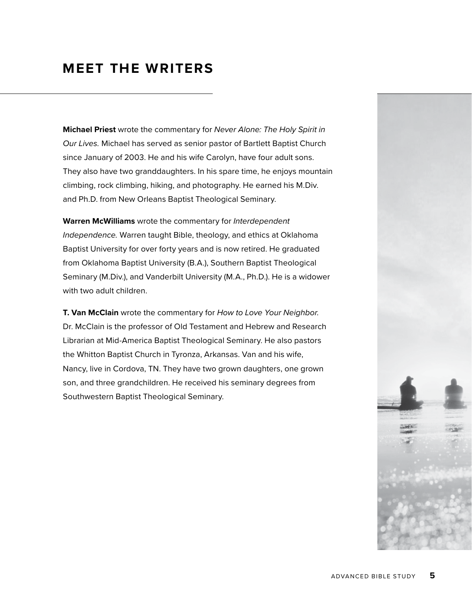### **MEET THE WRITERS**

**Michael Priest** wrote the commentary for *Never Alone: The Holy Spirit in Our Lives.* Michael has served as senior pastor of Bartlett Baptist Church since January of 2003. He and his wife Carolyn, have four adult sons. They also have two granddaughters. In his spare time, he enjoys mountain climbing, rock climbing, hiking, and photography. He earned his M.Div. and Ph.D. from New Orleans Baptist Theological Seminary.

**Warren McWilliams** wrote the commentary for *Interdependent Independence.* Warren taught Bible, theology, and ethics at Oklahoma Baptist University for over forty years and is now retired. He graduated from Oklahoma Baptist University (B.A.), Southern Baptist Theological Seminary (M.Div.), and Vanderbilt University (M.A., Ph.D.). He is a widower with two adult children.

**T. Van McClain** wrote the commentary for *How to Love Your Neighbor.* Dr. McClain is the professor of Old Testament and Hebrew and Research Librarian at Mid-America Baptist Theological Seminary. He also pastors the Whitton Baptist Church in Tyronza, Arkansas. Van and his wife, Nancy, live in Cordova, TN. They have two grown daughters, one grown son, and three grandchildren. He received his seminary degrees from Southwestern Baptist Theological Seminary.

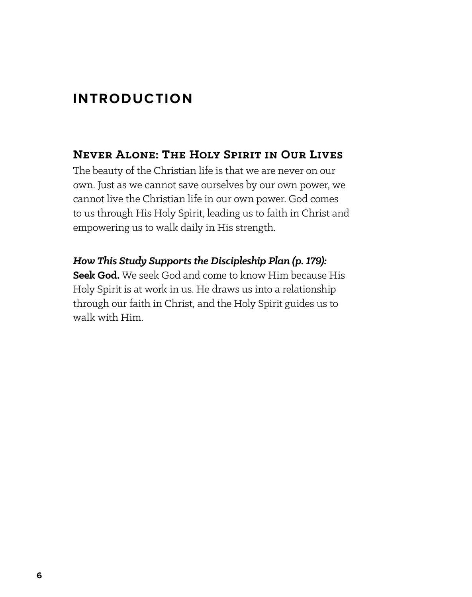## **INTRODUCTION**

#### **Never Alone: The Holy Spirit in Our Lives**

The beauty of the Christian life is that we are never on our own. Just as we cannot save ourselves by our own power, we cannot live the Christian life in our own power. God comes to us through His Holy Spirit, leading us to faith in Christ and empowering us to walk daily in His strength.

*How This Study Supports the Discipleship Plan (p. 179):* **Seek God.** We seek God and come to know Him because His Holy Spirit is at work in us. He draws us into a relationship through our faith in Christ, and the Holy Spirit guides us to walk with Him.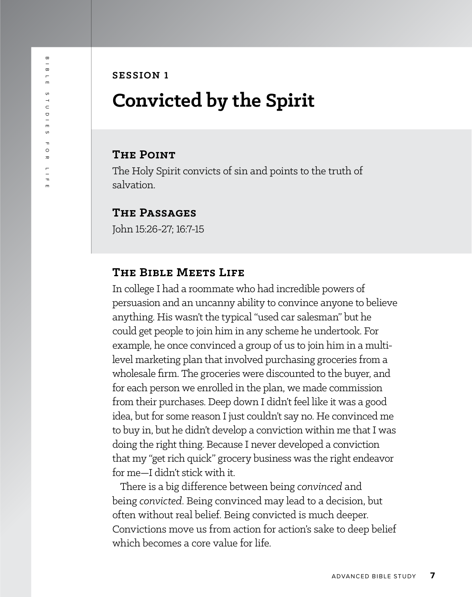#### **SESSION 1**

## **Convicted by the Spirit**

#### **The Point**

The Holy Spirit convicts of sin and points to the truth of salvation.

#### **The Passages**

John 15:26-27; 16:7-15

#### **The Bible Meets Life**

In college I had a roommate who had incredible powers of persuasion and an uncanny ability to convince anyone to believe anything. His wasn't the typical "used car salesman" but he could get people to join him in any scheme he undertook. For example, he once convinced a group of us to join him in a multilevel marketing plan that involved purchasing groceries from a wholesale firm. The groceries were discounted to the buyer, and for each person we enrolled in the plan, we made commission from their purchases. Deep down I didn't feel like it was a good idea, but for some reason I just couldn't say no. He convinced me to buy in, but he didn't develop a conviction within me that I was doing the right thing. Because I never developed a conviction that my "get rich quick" grocery business was the right endeavor for me—I didn't stick with it.

There is a big difference between being *convinced* and being *convicted*. Being convinced may lead to a decision, but often without real belief. Being convicted is much deeper. Convictions move us from action for action's sake to deep belief which becomes a core value for life.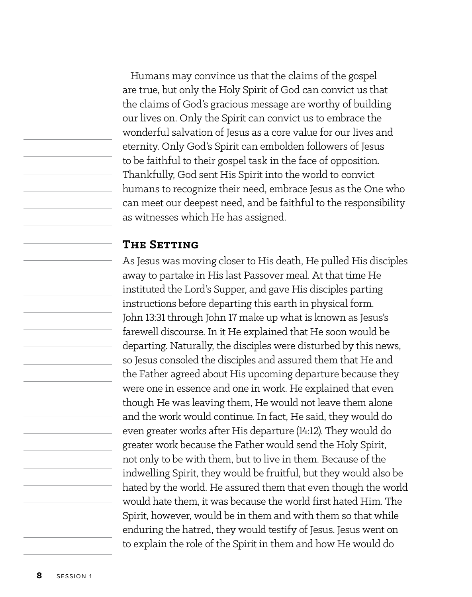Humans may convince us that the claims of the gospel are true, but only the Holy Spirit of God can convict us that the claims of God's gracious message are worthy of building our lives on. Only the Spirit can convict us to embrace the wonderful salvation of Jesus as a core value for our lives and eternity. Only God's Spirit can embolden followers of Jesus to be faithful to their gospel task in the face of opposition. Thankfully, God sent His Spirit into the world to convict humans to recognize their need, embrace Jesus as the One who can meet our deepest need, and be faithful to the responsibility as witnesses which He has assigned.

#### **The Setting**

As Jesus was moving closer to His death, He pulled His disciples away to partake in His last Passover meal. At that time He instituted the Lord's Supper, and gave His disciples parting instructions before departing this earth in physical form. John 13:31 through John 17 make up what is known as Jesus's farewell discourse. In it He explained that He soon would be departing. Naturally, the disciples were disturbed by this news, so Jesus consoled the disciples and assured them that He and the Father agreed about His upcoming departure because they were one in essence and one in work. He explained that even though He was leaving them, He would not leave them alone and the work would continue. In fact, He said, they would do even greater works after His departure (14:12). They would do greater work because the Father would send the Holy Spirit, not only to be with them, but to live in them. Because of the indwelling Spirit, they would be fruitful, but they would also be hated by the world. He assured them that even though the world would hate them, it was because the world first hated Him. The Spirit, however, would be in them and with them so that while enduring the hatred, they would testify of Jesus. Jesus went on to explain the role of the Spirit in them and how He would do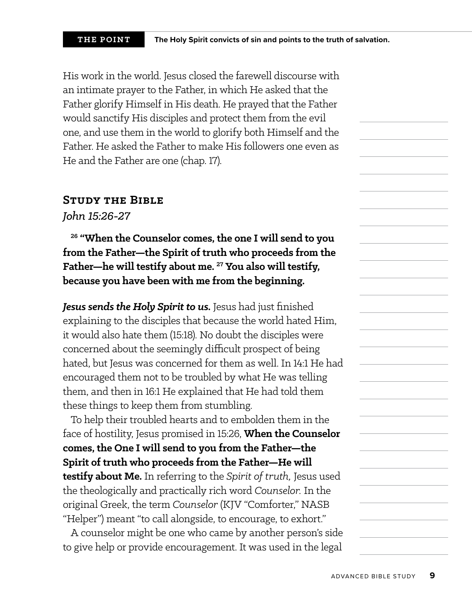His work in the world. Jesus closed the farewell discourse with an intimate prayer to the Father, in which He asked that the Father glorify Himself in His death. He prayed that the Father would sanctify His disciples and protect them from the evil one, and use them in the world to glorify both Himself and the Father. He asked the Father to make His followers one even as He and the Father are one (chap. 17).

#### **Study the Bible**

*John 15:26-27*

**26 "When the Counselor comes, the one I will send to you from the Father—the Spirit of truth who proceeds from the Father—he will testify about me. 27 You also will testify, because you have been with me from the beginning.**

**Jesus sends the Holy Spirit to us.** Jesus had just finished explaining to the disciples that because the world hated Him, it would also hate them (15:18). No doubt the disciples were concerned about the seemingly difficult prospect of being hated, but Jesus was concerned for them as well. In 14:1 He had encouraged them not to be troubled by what He was telling them, and then in 16:1 He explained that He had told them these things to keep them from stumbling.

To help their troubled hearts and to embolden them in the face of hostility, Jesus promised in 15:26, **When the Counselor comes, the One I will send to you from the Father—the Spirit of truth who proceeds from the Father—He will testify about Me.** In referring to the *Spirit of truth,* Jesus used the theologically and practically rich word *Counselor.* In the original Greek, the term *Counselor* (KJV "Comforter," NASB "Helper") meant "to call alongside, to encourage, to exhort."

A counselor might be one who came by another person's side to give help or provide encouragement. It was used in the legal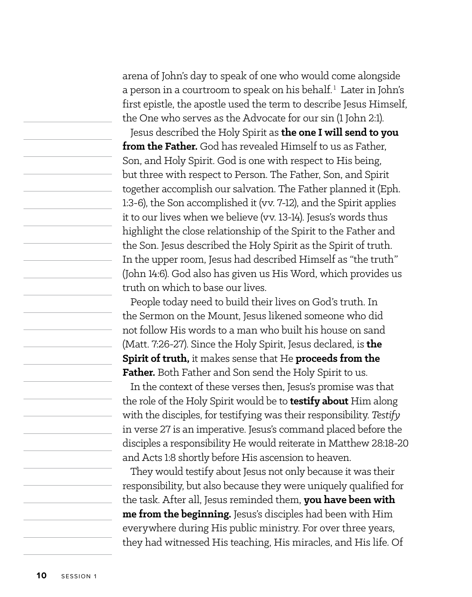arena of John's day to speak of one who would come alongside a person in a courtroom to speak on his behalf.<sup>1</sup> Later in John's first epistle, the apostle used the term to describe Jesus Himself, the One who serves as the Advocate for our sin (1 John 2:1).

Jesus described the Holy Spirit as **the one I will send to you from the Father.** God has revealed Himself to us as Father, Son, and Holy Spirit. God is one with respect to His being, but three with respect to Person. The Father, Son, and Spirit together accomplish our salvation. The Father planned it (Eph. 1:3-6), the Son accomplished it (vv. 7-12), and the Spirit applies it to our lives when we believe (vv. 13-14). Jesus's words thus highlight the close relationship of the Spirit to the Father and the Son. Jesus described the Holy Spirit as the Spirit of truth. In the upper room, Jesus had described Himself as "the truth" (John 14:6). God also has given us His Word, which provides us truth on which to base our lives.

People today need to build their lives on God's truth. In the Sermon on the Mount, Jesus likened someone who did not follow His words to a man who built his house on sand (Matt. 7:26-27). Since the Holy Spirit, Jesus declared, is **the Spirit of truth,** it makes sense that He **proceeds from the**  Father. Both Father and Son send the Holy Spirit to us.

In the context of these verses then, Jesus's promise was that the role of the Holy Spirit would be to **testify about** Him along with the disciples, for testifying was their responsibility. *Testify* in verse 27 is an imperative. Jesus's command placed before the disciples a responsibility He would reiterate in Matthew 28:18-20 and Acts 1:8 shortly before His ascension to heaven.

They would testify about Jesus not only because it was their responsibility, but also because they were uniquely qualified for the task. After all, Jesus reminded them, **you have been with me from the beginning.** Jesus's disciples had been with Him everywhere during His public ministry. For over three years, they had witnessed His teaching, His miracles, and His life. Of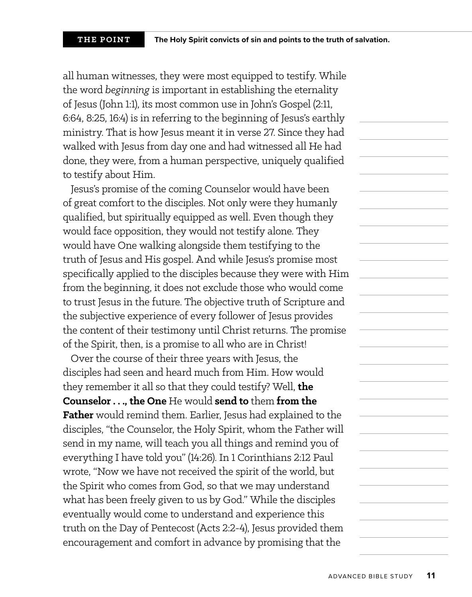all human witnesses, they were most equipped to testify. While the word *beginning* is important in establishing the eternality of Jesus (John 1:1), its most common use in John's Gospel (2:11, 6:64, 8:25, 16:4) is in referring to the beginning of Jesus's earthly ministry. That is how Jesus meant it in verse 27. Since they had walked with Jesus from day one and had witnessed all He had done, they were, from a human perspective, uniquely qualified to testify about Him.

Jesus's promise of the coming Counselor would have been of great comfort to the disciples. Not only were they humanly qualified, but spiritually equipped as well. Even though they would face opposition, they would not testify alone. They would have One walking alongside them testifying to the truth of Jesus and His gospel. And while Jesus's promise most specifically applied to the disciples because they were with Him from the beginning, it does not exclude those who would come to trust Jesus in the future. The objective truth of Scripture and the subjective experience of every follower of Jesus provides the content of their testimony until Christ returns. The promise of the Spirit, then, is a promise to all who are in Christ!

Over the course of their three years with Jesus, the disciples had seen and heard much from Him. How would they remember it all so that they could testify? Well, **the Counselor . . ., the One** He would **send to** them **from the Father** would remind them. Earlier, Jesus had explained to the disciples, "the Counselor, the Holy Spirit, whom the Father will send in my name, will teach you all things and remind you of everything I have told you" (14:26). In 1 Corinthians 2:12 Paul wrote, "Now we have not received the spirit of the world, but the Spirit who comes from God, so that we may understand what has been freely given to us by God." While the disciples eventually would come to understand and experience this truth on the Day of Pentecost (Acts 2:2-4), Jesus provided them encouragement and comfort in advance by promising that the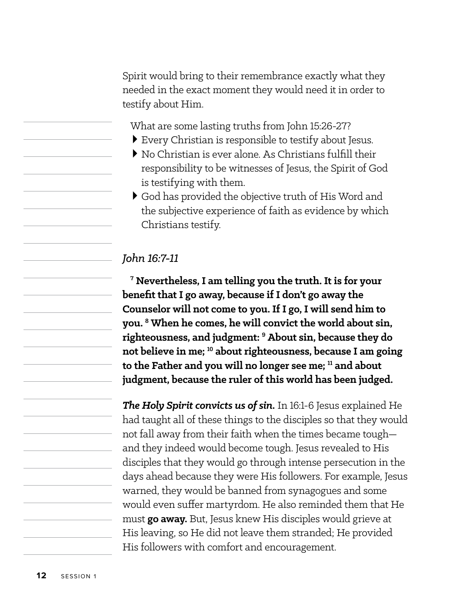Spirit would bring to their remembrance exactly what they needed in the exact moment they would need it in order to testify about Him.

What are some lasting truths from John 15:26-27?

- >Every Christian is responsible to testify about Jesus.
- >No Christian is ever alone. As Christians fulfill their responsibility to be witnesses of Jesus, the Spirit of God is testifying with them.
- >God has provided the objective truth of His Word and the subjective experience of faith as evidence by which Christians testify.

#### *John 16:7-11*

**7 Nevertheless, I am telling you the truth. It is for your benefit that I go away, because if I don't go away the Counselor will not come to you. If I go, I will send him to you. 8 When he comes, he will convict the world about sin, righteousness, and judgment: 9 About sin, because they do not believe in me; 10 about righteousness, because I am going to the Father and you will no longer see me; 11 and about judgment, because the ruler of this world has been judged.**

*The Holy Spirit convicts us of sin.* In 16:1-6 Jesus explained He had taught all of these things to the disciples so that they would not fall away from their faith when the times became tough and they indeed would become tough. Jesus revealed to His disciples that they would go through intense persecution in the days ahead because they were His followers. For example, Jesus warned, they would be banned from synagogues and some would even suffer martyrdom. He also reminded them that He must **go away.** But, Jesus knew His disciples would grieve at His leaving, so He did not leave them stranded; He provided His followers with comfort and encouragement.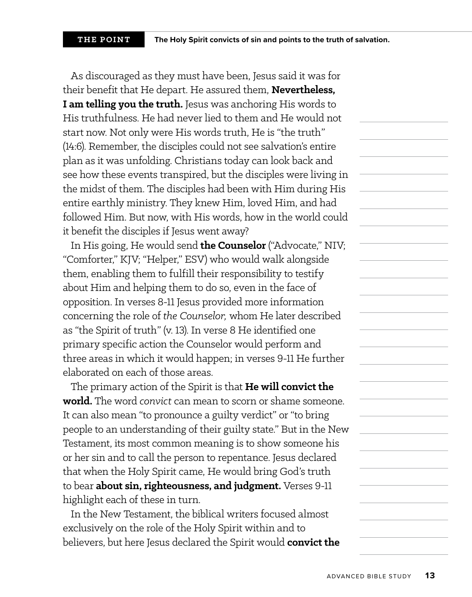As discouraged as they must have been, Jesus said it was for their benefit that He depart. He assured them, **Nevertheless, I am telling you the truth.** Jesus was anchoring His words to His truthfulness. He had never lied to them and He would not start now. Not only were His words truth, He is "the truth" (14:6). Remember, the disciples could not see salvation's entire plan as it was unfolding. Christians today can look back and see how these events transpired, but the disciples were living in the midst of them. The disciples had been with Him during His entire earthly ministry. They knew Him, loved Him, and had followed Him. But now, with His words, how in the world could it benefit the disciples if Jesus went away?

In His going, He would send **the Counselor** ("Advocate," NIV; "Comforter," KJV; "Helper," ESV) who would walk alongside them, enabling them to fulfill their responsibility to testify about Him and helping them to do so, even in the face of opposition. In verses 8-11 Jesus provided more information concerning the role of *the Counselor,* whom He later described as "the Spirit of truth" (v. 13). In verse 8 He identified one primary specific action the Counselor would perform and three areas in which it would happen; in verses 9-11 He further elaborated on each of those areas.

The primary action of the Spirit is that **He will convict the world.** The word *convict* can mean to scorn or shame someone. It can also mean "to pronounce a guilty verdict" or "to bring people to an understanding of their guilty state." But in the New Testament, its most common meaning is to show someone his or her sin and to call the person to repentance. Jesus declared that when the Holy Spirit came, He would bring God's truth to bear **about sin, righteousness, and judgment.** Verses 9-11 highlight each of these in turn.

In the New Testament, the biblical writers focused almost exclusively on the role of the Holy Spirit within and to believers, but here Jesus declared the Spirit would **convict the**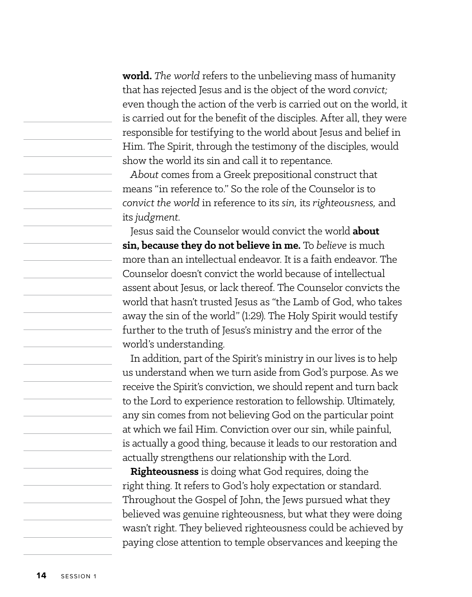**world.** *The world* refers to the unbelieving mass of humanity that has rejected Jesus and is the object of the word *convict;* even though the action of the verb is carried out on the world, it is carried out for the benefit of the disciples. After all, they were responsible for testifying to the world about Jesus and belief in Him. The Spirit, through the testimony of the disciples, would show the world its sin and call it to repentance.

*About* comes from a Greek prepositional construct that means "in reference to." So the role of the Counselor is to *convict the world* in reference to its *sin,* its *righteousness,* and its *judgment.*

Jesus said the Counselor would convict the world **about sin, because they do not believe in me.** To *believe* is much more than an intellectual endeavor. It is a faith endeavor. The Counselor doesn't convict the world because of intellectual assent about Jesus, or lack thereof. The Counselor convicts the world that hasn't trusted Jesus as "the Lamb of God, who takes away the sin of the world" (1:29). The Holy Spirit would testify further to the truth of Jesus's ministry and the error of the world's understanding.

In addition, part of the Spirit's ministry in our lives is to help us understand when we turn aside from God's purpose. As we receive the Spirit's conviction, we should repent and turn back to the Lord to experience restoration to fellowship. Ultimately, any sin comes from not believing God on the particular point at which we fail Him. Conviction over our sin, while painful, is actually a good thing, because it leads to our restoration and actually strengthens our relationship with the Lord.

**Righteousness** is doing what God requires, doing the right thing. It refers to God's holy expectation or standard. Throughout the Gospel of John, the Jews pursued what they believed was genuine righteousness, but what they were doing wasn't right. They believed righteousness could be achieved by paying close attention to temple observances and keeping the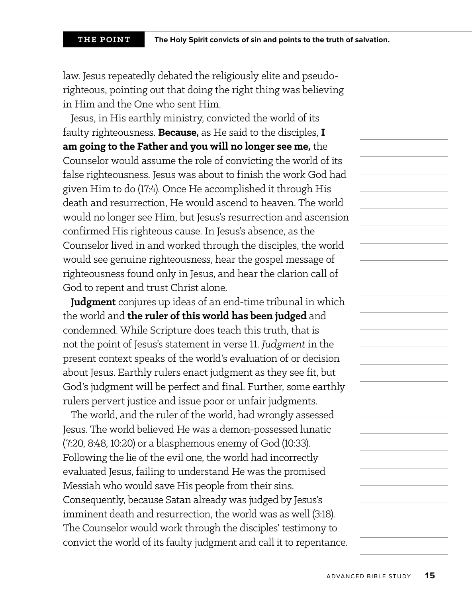law. Jesus repeatedly debated the religiously elite and pseudorighteous, pointing out that doing the right thing was believing in Him and the One who sent Him.

Jesus, in His earthly ministry, convicted the world of its faulty righteousness. **Because,** as He said to the disciples, **I am going to the Father and you will no longer see me,** the Counselor would assume the role of convicting the world of its false righteousness. Jesus was about to finish the work God had given Him to do (17:4). Once He accomplished it through His death and resurrection, He would ascend to heaven. The world would no longer see Him, but Jesus's resurrection and ascension confirmed His righteous cause. In Jesus's absence, as the Counselor lived in and worked through the disciples, the world would see genuine righteousness, hear the gospel message of righteousness found only in Jesus, and hear the clarion call of God to repent and trust Christ alone.

**Judgment** conjures up ideas of an end-time tribunal in which the world and **the ruler of this world has been judged** and condemned. While Scripture does teach this truth, that is not the point of Jesus's statement in verse 11. *Judgment* in the present context speaks of the world's evaluation of or decision about Jesus. Earthly rulers enact judgment as they see fit, but God's judgment will be perfect and final. Further, some earthly rulers pervert justice and issue poor or unfair judgments.

The world, and the ruler of the world, had wrongly assessed Jesus. The world believed He was a demon-possessed lunatic (7:20, 8:48, 10:20) or a blasphemous enemy of God (10:33). Following the lie of the evil one, the world had incorrectly evaluated Jesus, failing to understand He was the promised Messiah who would save His people from their sins. Consequently, because Satan already was judged by Jesus's imminent death and resurrection, the world was as well (3:18). The Counselor would work through the disciples' testimony to convict the world of its faulty judgment and call it to repentance.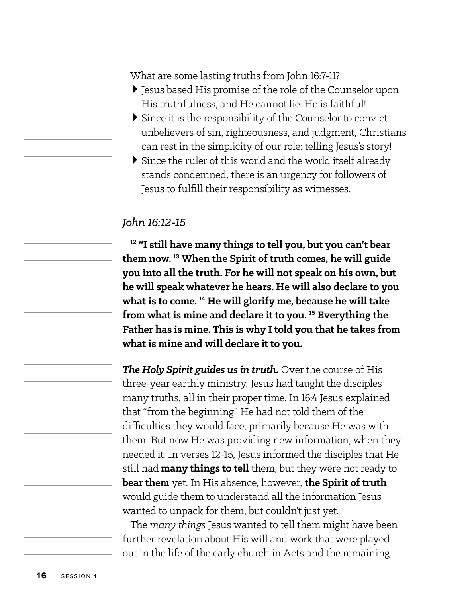What are some lasting truths from John 16:7-11?

- >Jesus based His promise of the role of the Counselor upon His truthfulness, and He cannot lie. He is faithful!
- >Since it is the responsibility of the Counselor to convict unbelievers of sin, righteousness, and judgment, Christians can rest in the simplicity of our role: telling Jesus's story!
- >Since the ruler of this world and the world itself already stands condemned, there is an urgency for followers of Jesus to fulfill their responsibility as witnesses.

#### *John 16:12-15*

**12 "I still have many things to tell you, but you can't bear them now. 13 When the Spirit of truth comes, he will guide you into all the truth. For he will not speak on his own, but he will speak whatever he hears. He will also declare to you what is to come. 14 He will glorify me, because he will take from what is mine and declare it to you. 15 Everything the Father has is mine. This is why I told you that he takes from what is mine and will declare it to you.**

*The Holy Spirit guides us in truth.* Over the course of His three-year earthly ministry, Jesus had taught the disciples many truths, all in their proper time. In 16:4 Jesus explained that "from the beginning" He had not told them of the difficulties they would face, primarily because He was with them. But now He was providing new information, when they needed it. In verses 12-15, Jesus informed the disciples that He still had **many things to tell** them, but they were not ready to **bear them** yet. In His absence, however, **the Spirit of truth** would guide them to understand all the information Jesus wanted to unpack for them, but couldn't just yet.

The *many things* Jesus wanted to tell them might have been further revelation about His will and work that were played out in the life of the early church in Acts and the remaining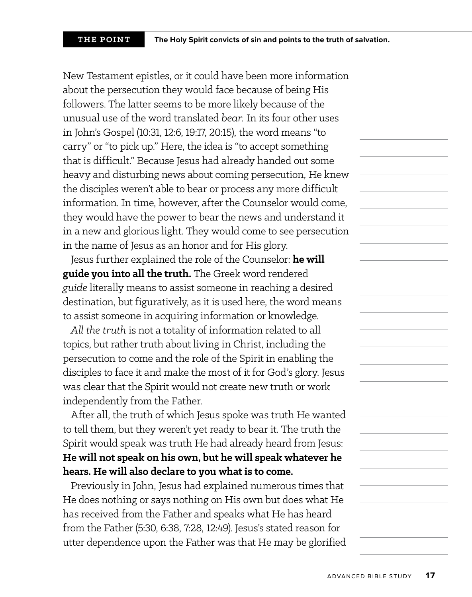New Testament epistles, or it could have been more information about the persecution they would face because of being His followers. The latter seems to be more likely because of the unusual use of the word translated *bear.* In its four other uses in John's Gospel (10:31, 12:6, 19:17, 20:15), the word means "to carry" or "to pick up." Here, the idea is "to accept something that is difficult." Because Jesus had already handed out some heavy and disturbing news about coming persecution, He knew the disciples weren't able to bear or process any more difficult information. In time, however, after the Counselor would come, they would have the power to bear the news and understand it in a new and glorious light. They would come to see persecution in the name of Jesus as an honor and for His glory.

Jesus further explained the role of the Counselor: **he will guide you into all the truth.** The Greek word rendered *guide* literally means to assist someone in reaching a desired destination, but figuratively, as it is used here, the word means to assist someone in acquiring information or knowledge.

*All the truth* is not a totality of information related to all topics, but rather truth about living in Christ, including the persecution to come and the role of the Spirit in enabling the disciples to face it and make the most of it for God's glory. Jesus was clear that the Spirit would not create new truth or work independently from the Father.

After all, the truth of which Jesus spoke was truth He wanted to tell them, but they weren't yet ready to bear it. The truth the Spirit would speak was truth He had already heard from Jesus: **He will not speak on his own, but he will speak whatever he hears. He will also declare to you what is to come.**

Previously in John, Jesus had explained numerous times that He does nothing or says nothing on His own but does what He has received from the Father and speaks what He has heard from the Father (5:30, 6:38, 7:28, 12:49). Jesus's stated reason for utter dependence upon the Father was that He may be glorified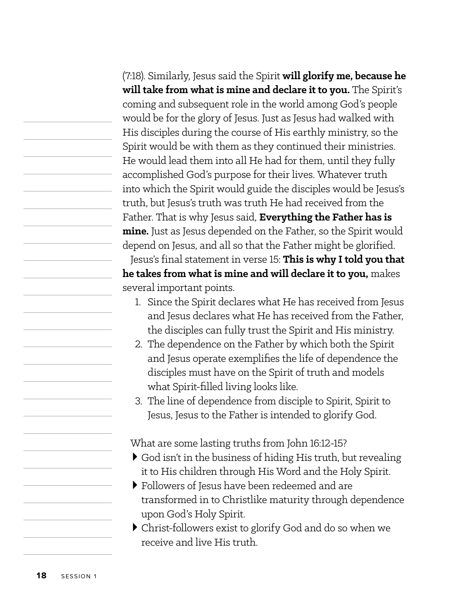(7:18). Similarly, Jesus said the Spirit **will glorify me, because he will take from what is mine and declare it to you.** The Spirit's coming and subsequent role in the world among God's people would be for the glory of Jesus. Just as Jesus had walked with His disciples during the course of His earthly ministry, so the Spirit would be with them as they continued their ministries. He would lead them into all He had for them, until they fully accomplished God's purpose for their lives. Whatever truth into which the Spirit would guide the disciples would be Jesus's truth, but Jesus's truth was truth He had received from the Father. That is why Jesus said, **Everything the Father has is mine.** Just as Jesus depended on the Father, so the Spirit would depend on Jesus, and all so that the Father might be glorified. Jesus's final statement in verse 15: **This is why I told you that he takes from what is mine and will declare it to you,** makes several important points.

- 1. Since the Spirit declares what He has received from Jesus and Jesus declares what He has received from the Father, the disciples can fully trust the Spirit and His ministry.
- 2. The dependence on the Father by which both the Spirit and Jesus operate exemplifies the life of dependence the disciples must have on the Spirit of truth and models what Spirit-filled living looks like.
- 3. The line of dependence from disciple to Spirit, Spirit to Jesus, Jesus to the Father is intended to glorify God.

What are some lasting truths from John 16:12-15?

- >God isn't in the business of hiding His truth, but revealing it to His children through His Word and the Holy Spirit.
- >Followers of Jesus have been redeemed and are transformed in to Christlike maturity through dependence upon God's Holy Spirit.
- >Christ-followers exist to glorify God and do so when we receive and live His truth.